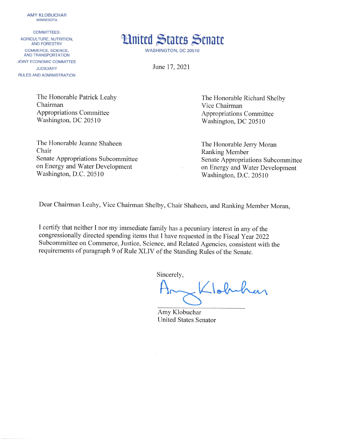**AMY KLOBUCHAR MINNESOTA** 

## **COMMITTEES:**

AGRICULTURE, NUTRITION. **AND FORESTRY** COMMERCE, SCIENCE, AND TRANSPORTATION **JOINT ECONOMIC COMMITTEE JUDICIARY** RULES AND ADMINISTRATION



June 17, 2021

The Honorable Patrick Leahy Chairman **Appropriations Committee** Washington, DC 20510

The Honorable Jeanne Shaheen Chair Senate Appropriations Subcommittee on Energy and Water Development Washington, D.C. 20510

The Honorable Richard Shelby Vice Chairman **Appropriations Committee** Washington, DC 20510

The Honorable Jerry Moran **Ranking Member** Senate Appropriations Subcommittee on Energy and Water Development Washington, D.C. 20510

Dear Chairman Leahy, Vice Chairman Shelby, Chair Shaheen, and Ranking Member Moran,

I certify that neither I nor my immediate family has a pecuniary interest in any of the congressionally directed spending items that I have requested in the Fiscal Year 2022 Subcommittee on Commerce, Justice, Science, and Related Agencies, consistent with the requirements of paragraph 9 of Rule XLIV of the Standing Rules of the Senate.

Sincerely,

Klobuk

Amy Klobuchar **United States Senator**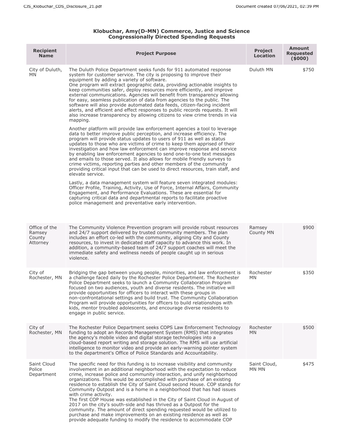## **Klobuchar, Amy(D-MN) Commerce, Justice and Science Congressionally Directed Spending Requests**

| <b>Recipient</b><br><b>Name</b>               | <b>Project Purpose</b>                                                                                                                                                                                                                                                                                                                                                                                                                                                                                                                                                                                                                                                                                                                                                                                                                                                                                                                                                                                                                                                                                                                                                                                                                                                                                                                                                                                                                                                                      | <b>Project</b><br><b>Location</b> | <b>Amount</b><br><b>Requested</b><br>(5000) |
|-----------------------------------------------|---------------------------------------------------------------------------------------------------------------------------------------------------------------------------------------------------------------------------------------------------------------------------------------------------------------------------------------------------------------------------------------------------------------------------------------------------------------------------------------------------------------------------------------------------------------------------------------------------------------------------------------------------------------------------------------------------------------------------------------------------------------------------------------------------------------------------------------------------------------------------------------------------------------------------------------------------------------------------------------------------------------------------------------------------------------------------------------------------------------------------------------------------------------------------------------------------------------------------------------------------------------------------------------------------------------------------------------------------------------------------------------------------------------------------------------------------------------------------------------------|-----------------------------------|---------------------------------------------|
| City of Duluth,<br>MN.                        | The Duluth Police Department seeks funds for 911 automated response<br>system for customer service. The city is proposing to improve their<br>equipment by adding a variety of software.<br>One program will extract geographic data, providing actionable insights to<br>keep communities safer, deploy resources more efficiently, and improve<br>external communications. Agencies will benefit from transparency allowing<br>for easy, seamless publication of data from agencies to the public. The<br>software will also provide automated data feeds, citizen-facing incident<br>alerts, and efficient and effect responses to public records requests. It will<br>also increase transparency by allowing citizens to view crime trends in via<br>mapping.<br>Another platform will provide law enforcement agencies a tool to leverage<br>data to better improve public perception, and increase efficiency. The<br>program will provide status updates to users of 911 as well as status<br>updates to those who are victims of crime to keep them apprised of their<br>investigation and how law enforcement can improve response and service<br>by enabling law enforcement agencies to send one-to-one text messages<br>and emails to those served. It also allows for mobile friendly surveys to<br>crime victims, reporting parties and other members of the community<br>providing critical input that can be used to direct resources, train staff, and<br>elevate service. | Duluth MN                         | \$750                                       |
|                                               | Lastly, a data management system will feature seven integrated modules:<br>Officer Profile, Training, Activity, Use of Force, Internal Affairs, Community<br>Engagement, and Performance Evaluations. These are essential for<br>capturing critical data and departmental reports to facilitate proactive<br>police management and preventative early intervention.                                                                                                                                                                                                                                                                                                                                                                                                                                                                                                                                                                                                                                                                                                                                                                                                                                                                                                                                                                                                                                                                                                                         |                                   |                                             |
| Office of the<br>Ramsey<br>County<br>Attorney | The Community Violence Prevention program will provide robust resources<br>and 24/7 support delivered by trusted community members. The plan<br>includes an effort co-led with the community, aligning City and County<br>resources, to invest in dedicated staff capacity to advance this work. In<br>addition, a community-based team of 24/7 support coaches will meet the<br>immediate safety and wellness needs of people caught up in serious<br>violence.                                                                                                                                                                                                                                                                                                                                                                                                                                                                                                                                                                                                                                                                                                                                                                                                                                                                                                                                                                                                                            | Ramsey<br>County MN               | \$900                                       |
| City of<br>Rochester, MN                      | Bridging the gap between young people, minorities, and law enforcement is<br>a challenge faced daily by the Rochester Police Department. The Rochester<br>Police Department seeks to launch a Community Collaboration Program<br>focused on two audiences, youth and diverse residents. The initiative will<br>provide opportunities for officers to interact with these groups in<br>non-confrontational settings and build trust. The Community Collaboration<br>Program will provide opportunities for officers to build relationships with<br>kids, mentor troubled adolescents, and encourage diverse residents to<br>engage in public service.                                                                                                                                                                                                                                                                                                                                                                                                                                                                                                                                                                                                                                                                                                                                                                                                                                        | Rochester<br>MN                   | \$350                                       |
| City of<br>Rochester, MN                      | The Rochester Police Department seeks COPS Law Enforcement Technology<br>funding to adopt an Records Management System (RMS) that integrates<br>the agency's mobile video and digital storage technologies into a<br>cloud-based report writing and storage solution. The RMS will use artificial<br>intelligence to monitor video and provide an early-warning pointer system<br>to the department's Office of Police Standards and Accountability.                                                                                                                                                                                                                                                                                                                                                                                                                                                                                                                                                                                                                                                                                                                                                                                                                                                                                                                                                                                                                                        | Rochester<br><b>MN</b>            | \$500                                       |
| Saint Cloud<br>Police<br>Department           | The specific need for this funding is to increase visibility and community<br>involvement in an additional neighborhood with the expectation to reduce<br>crime, increase police and community interaction, and unify neighborhood<br>organizations. This would be accomplished with purchase of an existing<br>residence to establish the City of Saint Cloud second House. COP stands for<br>Community Outpost and is a home in a neighborhood that has had issues<br>with crime activity.<br>The first COP House was established in the City of Saint Cloud in August of<br>2017 on the city's south-side and has thrived as a Outpost for the<br>community. The amount of direct spending requested would be utilized to<br>purchase and make improvements on an existing residence as well as<br>provide adequate funding to modify the residence to accommodate COP                                                                                                                                                                                                                                                                                                                                                                                                                                                                                                                                                                                                                   | Saint Cloud,<br>MN MN             | \$475                                       |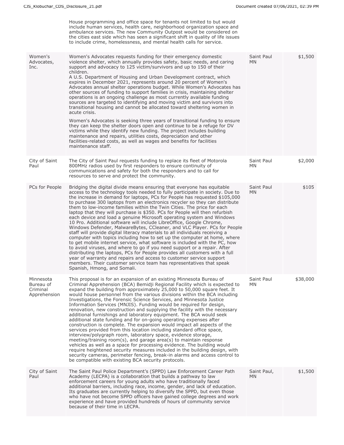|                                                    | House programming and office space for tenants not limited to but would<br>include human services, health care, neighborhood organization space and<br>ambulance services. The new Community Outpost would be considered on<br>the cities east side which has seen a significant shift in quality of life issues<br>to include crime, homelessness, and mental health calls for service.                                                                                                                                                                                                                                                                                                                                                                                                                                                                                                                                                                                                                                                                                                                                                                                                                                                                                                     |                    |          |
|----------------------------------------------------|----------------------------------------------------------------------------------------------------------------------------------------------------------------------------------------------------------------------------------------------------------------------------------------------------------------------------------------------------------------------------------------------------------------------------------------------------------------------------------------------------------------------------------------------------------------------------------------------------------------------------------------------------------------------------------------------------------------------------------------------------------------------------------------------------------------------------------------------------------------------------------------------------------------------------------------------------------------------------------------------------------------------------------------------------------------------------------------------------------------------------------------------------------------------------------------------------------------------------------------------------------------------------------------------|--------------------|----------|
| Women's<br>Advocates,<br>Inc.                      | Women's Advocates requests funding for their emergency domestic<br>violence shelter, which annually provides safety, basic needs, and caring<br>support and advocacy to 125 victim/survivors and up to 150 of their<br>children.<br>A U.S. Department of Housing and Urban Development contract, which<br>expires in December 2021, represents around 20 percent of Women's<br>Advocates annual shelter operations budget. While Women's Advocates has<br>other sources of funding to support families in crisis, maintaining shelter<br>operations is an ongoing challenge as most currently available funding<br>sources are targeted to identifying and moving victim and survivors into<br>transitional housing and cannot be allocated toward sheltering women in<br>acute crisis.<br>Women's Advocates is seeking three years of transitional funding to ensure<br>they can keep the shelter doors open and continue to be a refuge for DV<br>victims while they identify new funding. The project includes building<br>maintenance and repairs, utilities costs, depreciation and other<br>facilities-related costs, as well as wages and benefits for facilities<br>maintenance staff.                                                                                               | Saint Paul<br>MN   | \$1,500  |
| City of Saint<br>Paul                              | The City of Saint Paul requests funding to replace its fleet of Motorola<br>800MHz radios used by first responders to ensure continuity of<br>communications and safety for both the responders and to call for<br>resources to serve and protect the community.                                                                                                                                                                                                                                                                                                                                                                                                                                                                                                                                                                                                                                                                                                                                                                                                                                                                                                                                                                                                                             | Saint Paul<br>MN.  | \$2,000  |
| PCs for People                                     | Bridging the digital divide means ensuring that everyone has equitable<br>access to the technology tools needed to fully participate in society. Due to<br>the increase in demand for laptops, PCs for People has requested \$105,000<br>to purchase 300 laptops from an electronics recycler so they can distribute<br>them to low-income families within the Twin Cities. The price for each<br>laptop that they will purchase is \$350. PCs for People will then refurbish<br>each device and load a genuine Microsoft operating system and Windows<br>10 Pro. Additional software will include LibreOffice, Google Chrome,<br>Windows Defender, MalwareBytes, CCleaner, and VLC Player. PCs for People<br>staff will provide digital literacy materials to all individuals receiving a<br>computer with topics including how to set up the computer at home, where<br>to get mobile internet service, what software is included with the PC, how<br>to avoid viruses, and where to go if you need support or a repair. After<br>distributing the laptops, PCs for People provides all customers with a full<br>year of warranty and repairs and access to customer service support<br>members. Their customer service team has representatives that speak<br>Spanish, Hmong, and Somali. | Saint Paul<br>MN   | \$105    |
| Minnesota<br>Bureau of<br>Criminal<br>Apprehension | This proposal is for an expansion of an existing Minnesota Bureau of<br>Criminal Apprehension (BCA) Bemidji Regional Facility which is expected to<br>expand the building from approximately 25,000 to 50,000 square feet. It<br>would house personnel from the various divisions within the BCA including<br>Investigations, the Forensic Science Services, and Minnesota Justice<br>Information Services (MNJIS). Funding would be required for design,<br>renovation, new construction and supplying the facility with the necessary<br>additional furnishings and laboratory equipment. The BCA would seek<br>additional state funding and for on-going operating expenses after<br>construction is complete. The expansion would impact all aspects of the<br>services provided from this location including standard office space,<br>interview/polygraph room, laboratory space, evidence storage,<br>meeting/training room(s), and garage area(s) to maintain response<br>vehicles as well as a space for processing evidence. The building would<br>require heightened security measures included in the building design, with<br>security cameras, perimeter fencing, break-in alarms and access control to<br>be compatible with existing BCA security protocols.                 | Saint Paul<br>MN.  | \$38,000 |
| City of Saint<br>Paul                              | The Saint Paul Police Department's (SPPD) Law Enforcement Career Path<br>Academy (LECPA) is a collaboration that builds a pathway to law<br>enforcement careers for young adults who have traditionally faced<br>additional barriers, including race, income, gender, and lack of education.<br>Its graduates are currently helping to diversify the SPPD, but even those<br>who have not become SPPD officers have gained college degrees and work<br>experience and have provided hundreds of hours of community service<br>because of their time in LECPA.                                                                                                                                                                                                                                                                                                                                                                                                                                                                                                                                                                                                                                                                                                                                | Saint Paul,<br>MN. | \$1,500  |